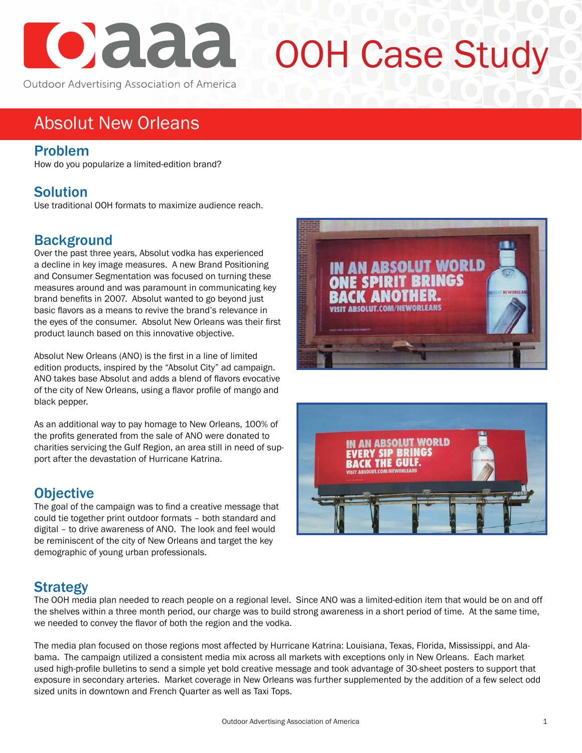

# OOH Case Study

# Absolut New Orleans

#### Problem

How do you popularize a limited-edition brand?

### **Solution**

Use traditional OOH formats to maximize audience reach.

#### **Background**

Over the past three years, Absolut vodka has experienced a decline in key image measures. A new Brand Positioning and Consumer Segmentation was focused on turning these measures around and was paramount in communicating key brand benefits in 2007. Absolut wanted to go beyond just basic flavors as a means to revive the brand's relevance in the eyes of the consumer. Absolut New Orleans was their first product launch based on this innovative objective.

Absolut New Orleans (ANO) is the first in a line of limited edition products, inspired by the "Absolut City" ad campaign. ANO takes base Absolut and adds a blend of flavors evocative of the city of New Orleans, using a flavor profile of mango and black pepper.

As an additional way to pay homage to New Orleans, 100% of the profits generated from the sale of ANO were donated to charities servicing the Gulf Region, an area still in need of support after the devastation of Hurricane Katrina.

#### **Objective**

The goal of the campaign was to find a creative message that could tie together print outdoor formats – both standard and digital – to drive awareness of ANO. The look and feel would be reminiscent of the city of New Orleans and target the key demographic of young urban professionals.





#### **Strategy**

The OOH media plan needed to reach people on a regional level. Since ANO was a limited-edition item that would be on and off the shelves within a three month period, our charge was to build strong awareness in a short period of time. At the same time, we needed to convey the flavor of both the region and the vodka.

The media plan focused on those regions most affected by Hurricane Katrina: Louisiana, Texas, Florida, Mississippi, and Alabama. The campaign utilized a consistent media mix across all markets with exceptions only in New Orleans. Each market used high-profile bulletins to send a simple yet bold creative message and took advantage of 30-sheet posters to support that exposure in secondary arteries. Market coverage in New Orleans was further supplemented by the addition of a few select odd sized units in downtown and French Quarter as well as Taxi Tops.